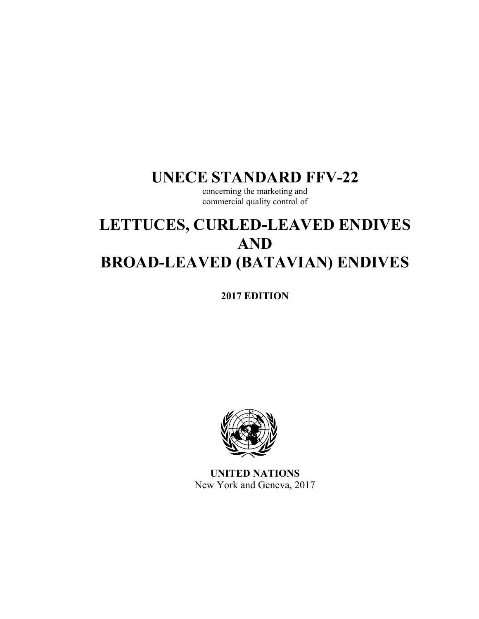# **UNECE STANDARD FFV-22**

concerning the marketing and commercial quality control of

# **LETTUCES, CURLED-LEAVED ENDIVES AND BROAD-LEAVED (BATAVIAN) ENDIVES**

**2017 EDITION** 



**UNITED NATIONS**  New York and Geneva, 2017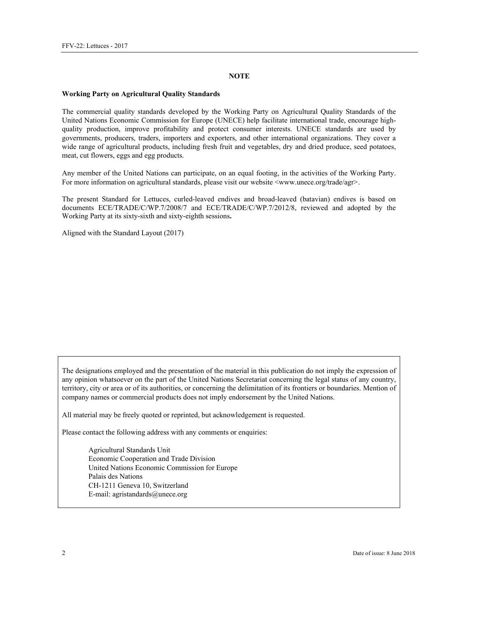#### **NOTE**

#### **Working Party on Agricultural Quality Standards**

The commercial quality standards developed by the Working Party on Agricultural Quality Standards of the United Nations Economic Commission for Europe (UNECE) help facilitate international trade, encourage highquality production, improve profitability and protect consumer interests. UNECE standards are used by governments, producers, traders, importers and exporters, and other international organizations. They cover a wide range of agricultural products, including fresh fruit and vegetables, dry and dried produce, seed potatoes, meat, cut flowers, eggs and egg products.

Any member of the United Nations can participate, on an equal footing, in the activities of the Working Party. For more information on agricultural standards, please visit our website <www.unece.org/trade/agr>.

The present Standard for Lettuces, curled-leaved endives and broad-leaved (batavian) endives is based on documents ECE/TRADE/C/WP.7/2008/7 and ECE/TRADE/C/WP.7/2012/8, reviewed and adopted by the Working Party at its sixty-sixth and sixty-eighth sessions**.** 

Aligned with the Standard Layout (2017)

The designations employed and the presentation of the material in this publication do not imply the expression of any opinion whatsoever on the part of the United Nations Secretariat concerning the legal status of any country, territory, city or area or of its authorities, or concerning the delimitation of its frontiers or boundaries. Mention of company names or commercial products does not imply endorsement by the United Nations.

All material may be freely quoted or reprinted, but acknowledgement is requested.

Please contact the following address with any comments or enquiries:

Agricultural Standards Unit Economic Cooperation and Trade Division United Nations Economic Commission for Europe Palais des Nations CH-1211 Geneva 10, Switzerland E-mail: agristandards@unece.org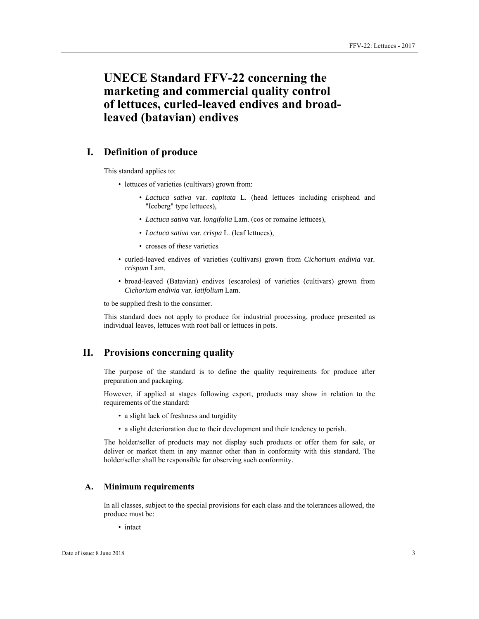# **UNECE Standard FFV-22 concerning the marketing and commercial quality control of lettuces, curled-leaved endives and broadleaved (batavian) endives**

# **I. Definition of produce**

This standard applies to:

- lettuces of varieties (cultivars) grown from:
	- *Lactuca sativa* var. *capitata* L. (head lettuces including crisphead and "Iceberg" type lettuces),
	- *Lactuca sativa* var*. longifolia* Lam. (cos or romaine lettuces),
	- *Lactuca sativa* var. *crispa* L. (leaf lettuces),
	- crosses of *these* varieties
- curled-leaved endives of varieties (cultivars) grown from *Cichorium endivia* var. *crispum* Lam.
- broad-leaved (Batavian) endives (escaroles) of varieties (cultivars) grown from *Cichorium endivia* var. *latifolium* Lam.

to be supplied fresh to the consumer.

This standard does not apply to produce for industrial processing, produce presented as individual leaves, lettuces with root ball or lettuces in pots.

# **II. Provisions concerning quality**

The purpose of the standard is to define the quality requirements for produce after preparation and packaging.

However, if applied at stages following export, products may show in relation to the requirements of the standard:

- a slight lack of freshness and turgidity
- a slight deterioration due to their development and their tendency to perish.

The holder/seller of products may not display such products or offer them for sale, or deliver or market them in any manner other than in conformity with this standard. The holder/seller shall be responsible for observing such conformity.

#### **A. Minimum requirements**

In all classes, subject to the special provisions for each class and the tolerances allowed, the produce must be:

• intact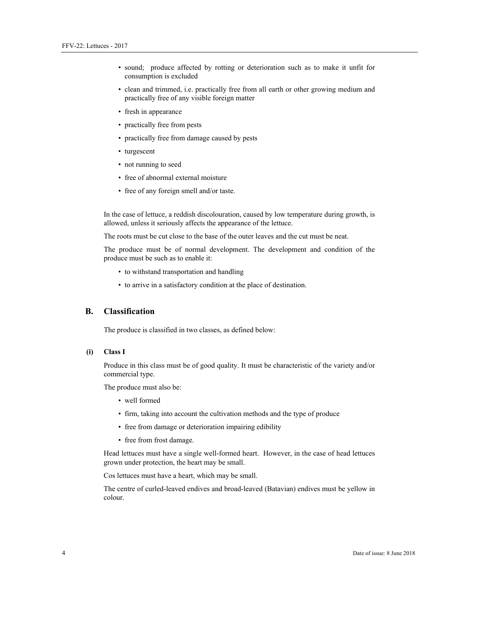- sound; produce affected by rotting or deterioration such as to make it unfit for consumption is excluded
- clean and trimmed, i.e. practically free from all earth or other growing medium and practically free of any visible foreign matter
- fresh in appearance
- practically free from pests
- practically free from damage caused by pests
- turgescent
- not running to seed
- free of abnormal external moisture
- free of any foreign smell and/or taste.

In the case of lettuce, a reddish discolouration, caused by low temperature during growth, is allowed, unless it seriously affects the appearance of the lettuce.

The roots must be cut close to the base of the outer leaves and the cut must be neat.

The produce must be of normal development. The development and condition of the produce must be such as to enable it:

- to withstand transportation and handling
- to arrive in a satisfactory condition at the place of destination.

#### **B. Classification**

The produce is classified in two classes, as defined below:

#### **(i) Class I**

Produce in this class must be of good quality. It must be characteristic of the variety and/or commercial type.

The produce must also be:

- well formed
- firm, taking into account the cultivation methods and the type of produce
- free from damage or deterioration impairing edibility
- free from frost damage.

Head lettuces must have a single well-formed heart. However, in the case of head lettuces grown under protection, the heart may be small.

Cos lettuces must have a heart, which may be small.

The centre of curled-leaved endives and broad-leaved (Batavian) endives must be yellow in colour.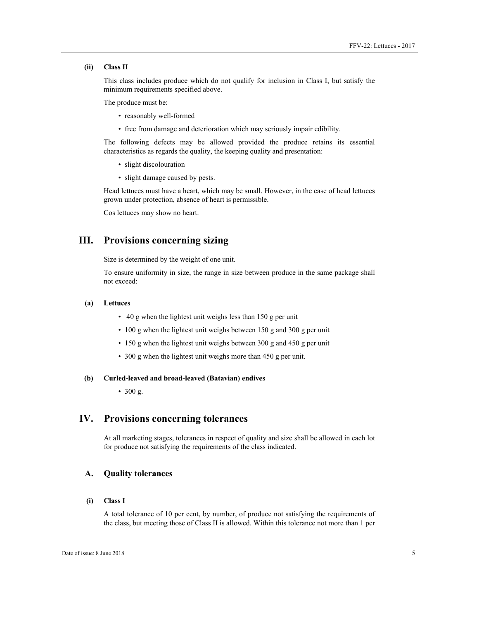#### **(ii) Class II**

This class includes produce which do not qualify for inclusion in Class I, but satisfy the minimum requirements specified above.

The produce must be:

- reasonably well-formed
- free from damage and deterioration which may seriously impair edibility.

The following defects may be allowed provided the produce retains its essential characteristics as regards the quality, the keeping quality and presentation:

- slight discolouration
- slight damage caused by pests.

Head lettuces must have a heart, which may be small. However, in the case of head lettuces grown under protection, absence of heart is permissible.

Cos lettuces may show no heart.

# **III. Provisions concerning sizing**

Size is determined by the weight of one unit.

To ensure uniformity in size, the range in size between produce in the same package shall not exceed:

#### **(a) Lettuces**

- 40 g when the lightest unit weighs less than 150 g per unit
- 100 g when the lightest unit weighs between 150 g and 300 g per unit
- 150 g when the lightest unit weighs between 300 g and 450 g per unit
- 300 g when the lightest unit weighs more than 450 g per unit.

#### **(b) Curled-leaved and broad-leaved (Batavian) endives**

• 300 g.

### **IV. Provisions concerning tolerances**

At all marketing stages, tolerances in respect of quality and size shall be allowed in each lot for produce not satisfying the requirements of the class indicated.

#### **A. Quality tolerances**

#### **(i) Class I**

A total tolerance of 10 per cent, by number, of produce not satisfying the requirements of the class, but meeting those of Class II is allowed. Within this tolerance not more than 1 per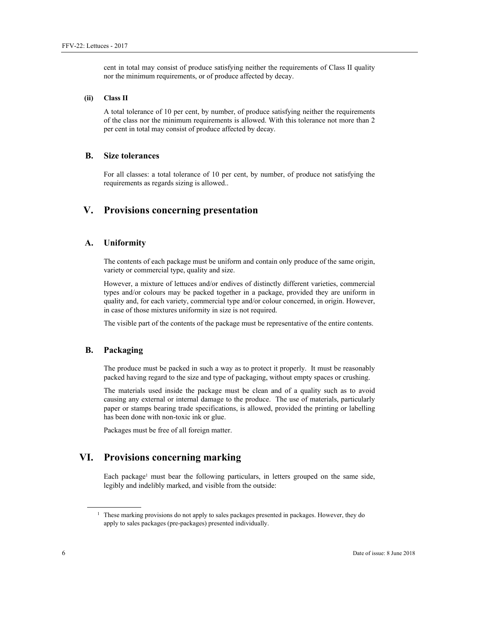cent in total may consist of produce satisfying neither the requirements of Class II quality nor the minimum requirements, or of produce affected by decay.

#### **(ii) Class II**

A total tolerance of 10 per cent, by number, of produce satisfying neither the requirements of the class nor the minimum requirements is allowed. With this tolerance not more than 2 per cent in total may consist of produce affected by decay.

#### **B. Size tolerances**

For all classes: a total tolerance of 10 per cent, by number, of produce not satisfying the requirements as regards sizing is allowed..

# **V. Provisions concerning presentation**

#### **A. Uniformity**

The contents of each package must be uniform and contain only produce of the same origin, variety or commercial type, quality and size.

However, a mixture of lettuces and/or endives of distinctly different varieties, commercial types and/or colours may be packed together in a package, provided they are uniform in quality and, for each variety, commercial type and/or colour concerned, in origin. However, in case of those mixtures uniformity in size is not required.

The visible part of the contents of the package must be representative of the entire contents.

#### **B. Packaging**

The produce must be packed in such a way as to protect it properly. It must be reasonably packed having regard to the size and type of packaging, without empty spaces or crushing.

The materials used inside the package must be clean and of a quality such as to avoid causing any external or internal damage to the produce. The use of materials, particularly paper or stamps bearing trade specifications, is allowed, provided the printing or labelling has been done with non-toxic ink or glue.

Packages must be free of all foreign matter.

# **VI. Provisions concerning marking**

Each package<sup>1</sup> must bear the following particulars, in letters grouped on the same side, legibly and indelibly marked, and visible from the outside:

 $\overline{a}$ 

<sup>&</sup>lt;sup>1</sup> These marking provisions do not apply to sales packages presented in packages. However, they do apply to sales packages (pre-packages) presented individually.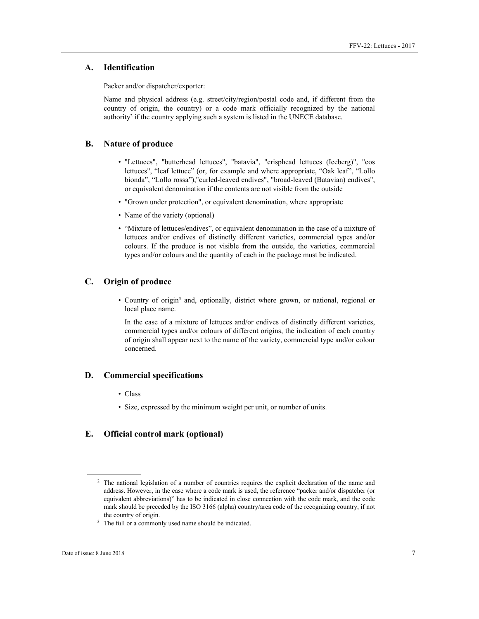#### **A. Identification**

Packer and/or dispatcher/exporter:

Name and physical address (e.g. street/city/region/postal code and, if different from the country of origin, the country) or a code mark officially recognized by the national authority<sup>2</sup> if the country applying such a system is listed in the UNECE database.

#### **B. Nature of produce**

- "Lettuces", "butterhead lettuces", "batavia", "crisphead lettuces (Iceberg)", "cos lettuces", "leaf lettuce" (or, for example and where appropriate, "Oak leaf", "Lollo bionda", "Lollo rossa"),"curled-leaved endives", "broad-leaved (Batavian) endives", or equivalent denomination if the contents are not visible from the outside
- "Grown under protection", or equivalent denomination, where appropriate
- Name of the variety (optional)
- "Mixture of lettuces/endives", or equivalent denomination in the case of a mixture of lettuces and/or endives of distinctly different varieties, commercial types and/or colours. If the produce is not visible from the outside, the varieties, commercial types and/or colours and the quantity of each in the package must be indicated.

#### **C. Origin of produce**

• Country of origin3 and, optionally, district where grown, or national, regional or local place name.

In the case of a mixture of lettuces and/or endives of distinctly different varieties, commercial types and/or colours of different origins, the indication of each country of origin shall appear next to the name of the variety, commercial type and/or colour concerned.

#### **D. Commercial specifications**

- Class
- Size, expressed by the minimum weight per unit, or number of units.

# **E. Official control mark (optional)**

 $\overline{a}$ 

<sup>2</sup> The national legislation of a number of countries requires the explicit declaration of the name and address. However, in the case where a code mark is used, the reference "packer and/or dispatcher (or equivalent abbreviations)" has to be indicated in close connection with the code mark, and the code mark should be preceded by the ISO 3166 (alpha) country/area code of the recognizing country, if not the country of origin.<br><sup>3</sup> The full or a commonly used name should be indicated.